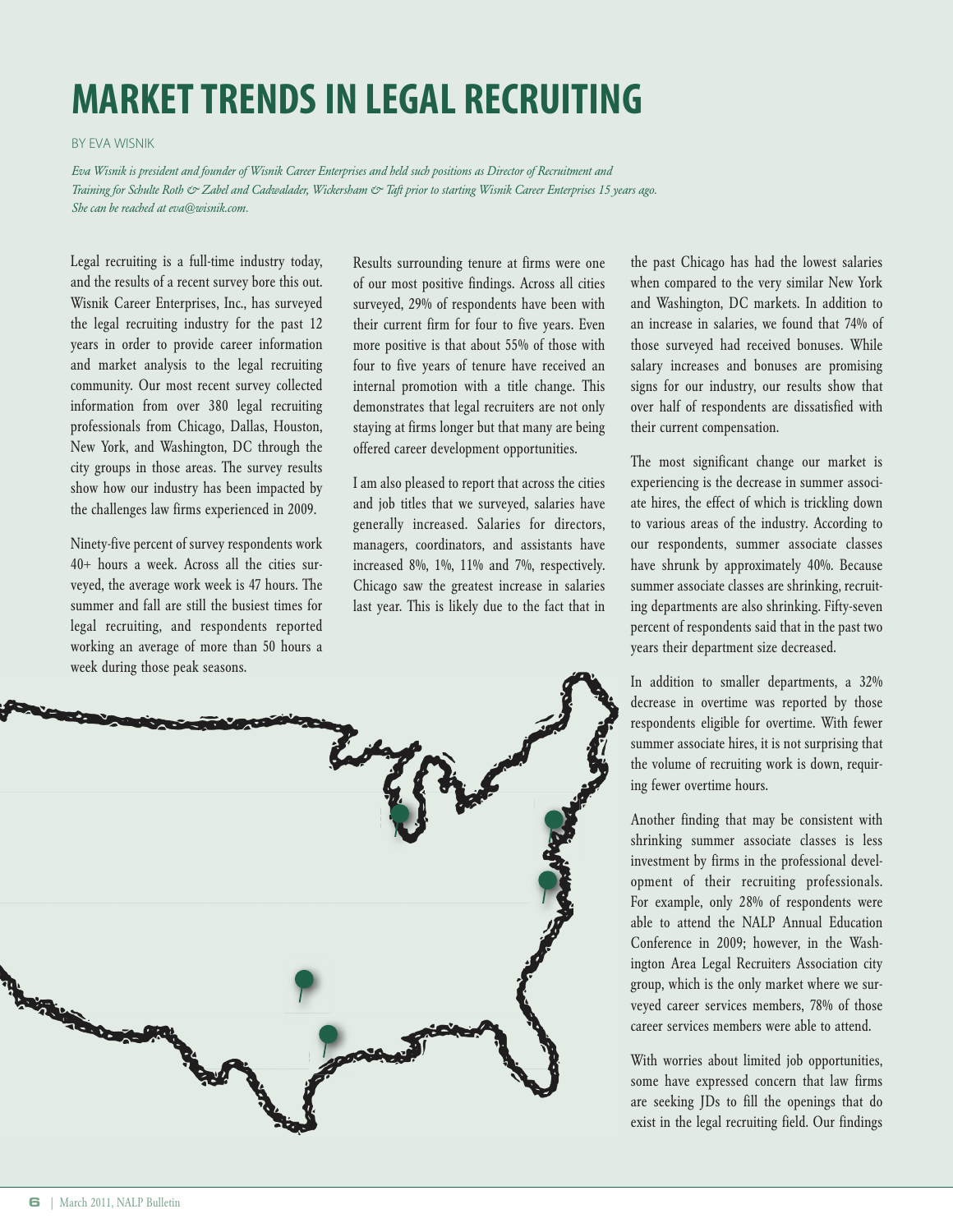## **MARKETTRENDSIN LEGAL RECRUITING**

BY EVA WISNIK

Eva Wisnik is president and founder of Wisnik Career Enterprises and held such positions as Director of Recruitment and Training for Schulte Roth & Zabel and Cadwalader, Wickersham & Taft prior to starting Wisnik Career Enterprises 15 years ago. *She can be reached at eva@wisnik.com.*

Legal recruiting is a full-time industry today, and the results of a recent survey bore this out. Wisnik Career Enterprises, Inc., has surveyed the legal recruiting industry for the past 12 years in order to provide career information and market analysis to the legal recruiting community. Our most recent survey collected information from over 380 legal recruiting professionals from Chicago, Dallas, Houston, New York, and Washington, DC through the city groups in those areas. The survey results show how our industry has been impacted by the challenges law firms experienced in 2009.

Ninety-five percent of survey respondents work 40+ hours a week. Across all the cities surveyed, the average work week is 47 hours. The summer and fall are still the busiest times for legal recruiting, and respondents reported working an average of more than 50 hours a week during those peak seasons.

Results surrounding tenure at firms were one of our most positive findings. Across all cities surveyed, 29% of respondents have been with their current firm for four to five years. Even more positive is that about 55% of those with four to five years of tenure have received an internal promotion with a title change. This demonstrates that legal recruiters are not only staying at firms longer but that many are being offered career development opportunities.

I am also pleased to report that across the cities and job titles that we surveyed, salaries have generally increased. Salaries for directors, managers, coordinators, and assistants have increased 8%, 1%, 11% and 7%, respectively. Chicago saw the greatest increase in salaries last year. This is likely due to the fact that in

the past Chicago has had the lowest salaries when compared to the very similar New York and Washington, DC markets. In addition to an increase in salaries, we found that 74% of those surveyed had received bonuses. While salary increases and bonuses are promising signs for our industry, our results show that over half of respondents are dissatisfied with their current compensation.

The most significant change our market is experiencing is the decrease in summer associate hires, the effect of which is trickling down to various areas of the industry. According to our respondents, summer associate classes have shrunk by approximately 40%. Because summer associate classes are shrinking, recruiting departments are also shrinking. Fifty-seven percent of respondents said that in the past two years their department size decreased.

In addition to smaller departments, a 32% decrease in overtime was reported by those respondents eligible for overtime. With fewer summer associate hires, it is not surprising that the volume of recruiting work is down, requiring fewer overtime hours.

Another finding that may be consistent with shrinking summer associate classes is less investment by firms in the professional development of their recruiting professionals. For example, only 28% of respondents were able to attend the NALP Annual Education Conference in 2009; however, in the Washington Area Legal Recruiters Association city group, which is the only market where we surveyed career services members, 78% of those career services members were able to attend.

With worries about limited job opportunities, some have expressed concern that law firms are seeking JDs to fill the openings that do exist in the legal recruiting field. Our findings